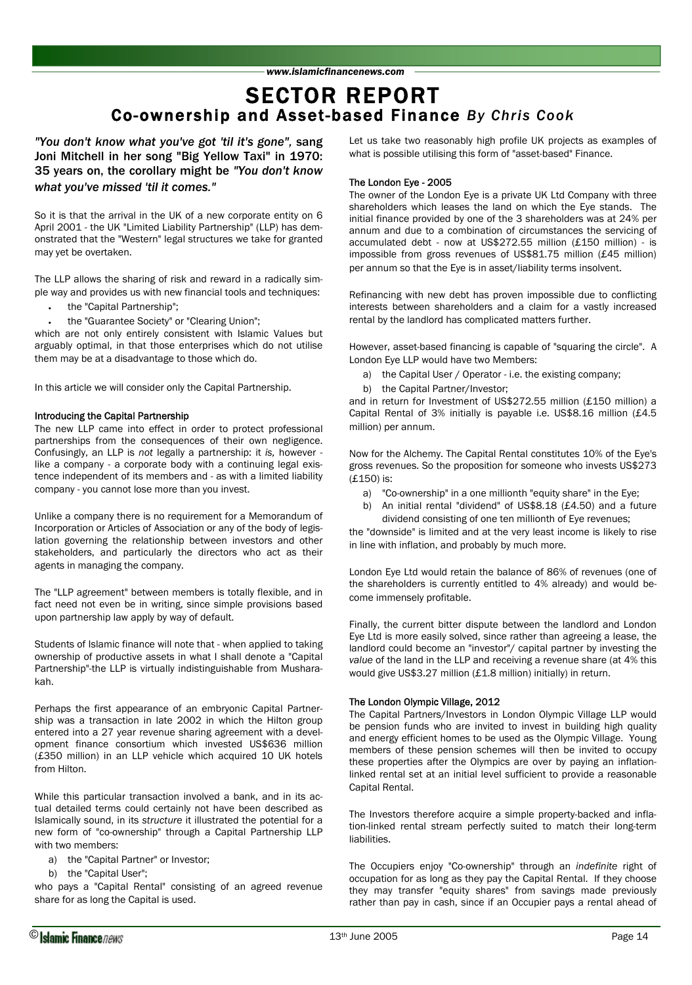# Co-ownership and Asset-based Finance *By Chris Cook* SECTOR REPORT

*"You don't know what you've got 'til it's gone",* sang Joni Mitchell in her song "Big Yellow Taxi" in 1970: 35 years on, the corollary might be *"You don't know what you've missed 'til it comes."* 

So it is that the arrival in the UK of a new corporate entity on 6 April 2001 - the UK "Limited Liability Partnership" (LLP) has demonstrated that the "Western" legal structures we take for granted may yet be overtaken.

The LLP allows the sharing of risk and reward in a radically simple way and provides us with new financial tools and techniques:

- the "Capital Partnership";
- the "Guarantee Society" or "Clearing Union";

which are not only entirely consistent with Islamic Values but arguably optimal, in that those enterprises which do not utilise them may be at a disadvantage to those which do.

In this article we will consider only the Capital Partnership.

### Introducing the Capital Partnership

The new LLP came into effect in order to protect professional partnerships from the consequences of their own negligence. Confusingly, an LLP is *not* legally a partnership: it *is,* however like a company - a corporate body with a continuing legal existence independent of its members and - as with a limited liability company - you cannot lose more than you invest.

Unlike a company there is no requirement for a Memorandum of Incorporation or Articles of Association or any of the body of legislation governing the relationship between investors and other stakeholders, and particularly the directors who act as their agents in managing the company.

The "LLP agreement" between members is totally flexible, and in fact need not even be in writing, since simple provisions based upon partnership law apply by way of default.

Students of Islamic finance will note that - when applied to taking ownership of productive assets in what I shall denote a "Capital Partnership"-the LLP is virtually indistinguishable from Musharakah.

Perhaps the first appearance of an embryonic Capital Partnership was a transaction in late 2002 in which the Hilton group entered into a 27 year revenue sharing agreement with a development finance consortium which invested US\$636 million (£350 million) in an LLP vehicle which acquired 10 UK hotels from Hilton.

While this particular transaction involved a bank, and in its actual detailed terms could certainly not have been described as Islamically sound, in its *structure* it illustrated the potential for a new form of "co-ownership" through a Capital Partnership LLP with two members:

- a) the "Capital Partner" or Investor;
- b) the "Capital User";

who pays a "Capital Rental" consisting of an agreed revenue share for as long the Capital is used.

Let us take two reasonably high profile UK projects as examples of what is possible utilising this form of "asset-based" Finance.

### The London Eye - 2005

The owner of the London Eye is a private UK Ltd Company with three shareholders which leases the land on which the Eye stands. The initial finance provided by one of the 3 shareholders was at 24% per annum and due to a combination of circumstances the servicing of accumulated debt - now at US\$272.55 million (£150 million) - is impossible from gross revenues of US\$81.75 million (£45 million) per annum so that the Eye is in asset/liability terms insolvent.

Refinancing with new debt has proven impossible due to conflicting interests between shareholders and a claim for a vastly increased rental by the landlord has complicated matters further.

However, asset-based financing is capable of "squaring the circle". A London Eye LLP would have two Members:

- a) the Capital User / Operator i.e. the existing company;
- b) the Capital Partner/Investor;

and in return for Investment of US\$272.55 million (£150 million) a Capital Rental of 3% initially is payable i.e. US\$8.16 million (£4.5 million) per annum.

Now for the Alchemy. The Capital Rental constitutes 10% of the Eye's gross revenues. So the proposition for someone who invests US\$273 (£150) is:

- a) "Co-ownership" in a one millionth "equity share" in the Eye;
- b) An initial rental "dividend" of US\$8.18 (£4.50) and a future dividend consisting of one ten millionth of Eye revenues;

the "downside" is limited and at the very least income is likely to rise in line with inflation, and probably by much more.

London Eye Ltd would retain the balance of 86% of revenues (one of the shareholders is currently entitled to 4% already) and would become immensely profitable.

Finally, the current bitter dispute between the landlord and London Eye Ltd is more easily solved, since rather than agreeing a lease, the landlord could become an "investor"/ capital partner by investing the *value* of the land in the LLP and receiving a revenue share (at 4% this would give US\$3.27 million (£1.8 million) initially) in return.

### The London Olympic Village, 2012

The Capital Partners/Investors in London Olympic Village LLP would be pension funds who are invited to invest in building high quality and energy efficient homes to be used as the Olympic Village. Young members of these pension schemes will then be invited to occupy these properties after the Olympics are over by paying an inflationlinked rental set at an initial level sufficient to provide a reasonable Capital Rental.

The Investors therefore acquire a simple property-backed and inflation-linked rental stream perfectly suited to match their long-term liabilities.

The Occupiers enjoy "Co-ownership" through an *indefinite* right of occupation for as long as they pay the Capital Rental. If they choose they may transfer "equity shares" from savings made previously rather than pay in cash, since if an Occupier pays a rental ahead of